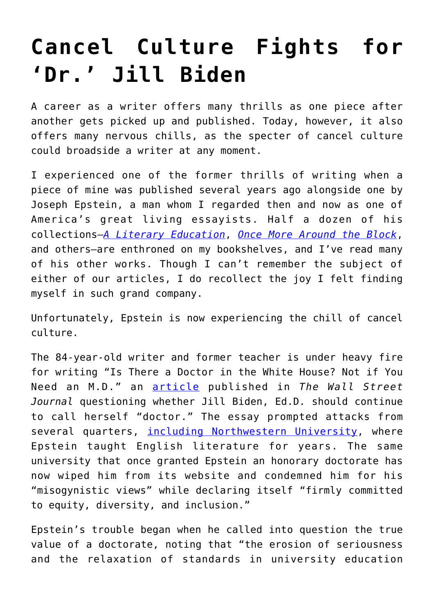## **[Cancel Culture Fights for](https://intellectualtakeout.org/2020/12/cancel-culture-fights-for-dr-jill-biden/) ['Dr.' Jill Biden](https://intellectualtakeout.org/2020/12/cancel-culture-fights-for-dr-jill-biden/)**

A career as a writer offers many thrills as one piece after another gets picked up and published. Today, however, it also offers many nervous chills, as the specter of cancel culture could broadside a writer at any moment.

I experienced one of the former thrills of writing when a piece of mine was published several years ago alongside one by Joseph Epstein, a man whom I regarded then and now as one of America's great living essayists. Half a dozen of his collections—*[A Literary Education](https://www.amazon.com/gp/product/1604190787/ref=as_li_tl?ie=UTF8&camp=1789&creative=9325&creativeASIN=1604190787&linkCode=as2&tag=intelltakeo0d-20&linkId=a87e7f6725876c819f5be4b80e064b4e)*, *[Once More Around the Block](https://www.amazon.com/gp/product/0393024423/ref=as_li_tl?ie=UTF8&camp=1789&creative=9325&creativeASIN=0393024423&linkCode=as2&tag=intelltakeo0d-20&linkId=26365ee4ede02fe1fd6ea0b1e5335aec)*, and others—are enthroned on my bookshelves, and I've read many of his other works. Though I can't remember the subject of either of our articles, I do recollect the joy I felt finding myself in such grand company.

Unfortunately, Epstein is now experiencing the chill of cancel culture.

The 84-year-old writer and former teacher is under heavy fire for writing "Is There a Doctor in the White House? Not if You Need an M.D." an [article](https://www.wsj.com/articles/is-there-a-doctor-in-the-white-house-not-if-you-need-an-m-d-11607727380) published in *The Wall Street Journal* questioning whether Jill Biden, Ed.D. should continue to call herself "doctor." The essay prompted attacks from several quarters, *including Northwestern University*, where Epstein taught English literature for years. The same university that once granted Epstein an honorary doctorate has now wiped him from its website and condemned him for his "misogynistic views" while declaring itself "firmly committed to equity, diversity, and inclusion."

Epstein's trouble began when he called into question the true value of a doctorate, noting that "the erosion of seriousness and the relaxation of standards in university education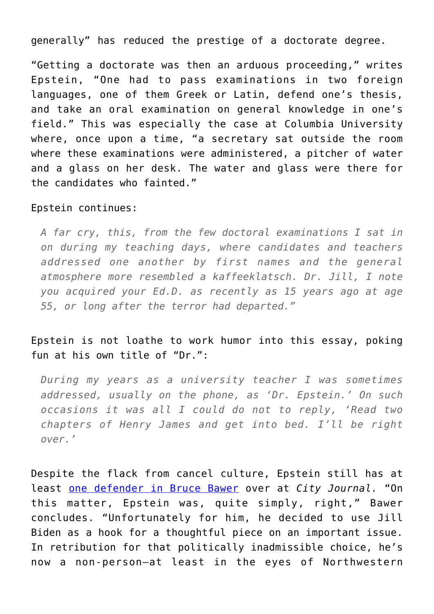generally" has reduced the prestige of a doctorate degree.

"Getting a doctorate was then an arduous proceeding," writes Epstein, "One had to pass examinations in two foreign languages, one of them Greek or Latin, defend one's thesis, and take an oral examination on general knowledge in one's field." This was especially the case at Columbia University where, once upon a time, "a secretary sat outside the room where these examinations were administered, a pitcher of water and a glass on her desk. The water and glass were there for the candidates who fainted."

## Epstein continues:

*A far cry, this, from the few doctoral examinations I sat in on during my teaching days, where candidates and teachers addressed one another by first names and the general atmosphere more resembled a kaffeeklatsch. Dr. Jill, I note you acquired your Ed.D. as recently as 15 years ago at age 55, or long after the terror had departed."*

## Epstein is not loathe to work humor into this essay, poking fun at his own title of "Dr.":

*During my years as a university teacher I was sometimes addressed, usually on the phone, as 'Dr. Epstein.' On such occasions it was all I could do not to reply, 'Read two chapters of Henry James and get into bed. I'll be right over.'*

Despite the flack from cancel culture, Epstein still has at least [one defender in Bruce Bawer](https://www.city-journal.org/in-defense-of-joseph-epstein-on-dr-jill-biden) over at *City Journal.* "On this matter, Epstein was, quite simply, right," Bawer concludes. "Unfortunately for him, he decided to use Jill Biden as a hook for a thoughtful piece on an important issue. In retribution for that politically inadmissible choice, he's now a non-person—at least in the eyes of Northwestern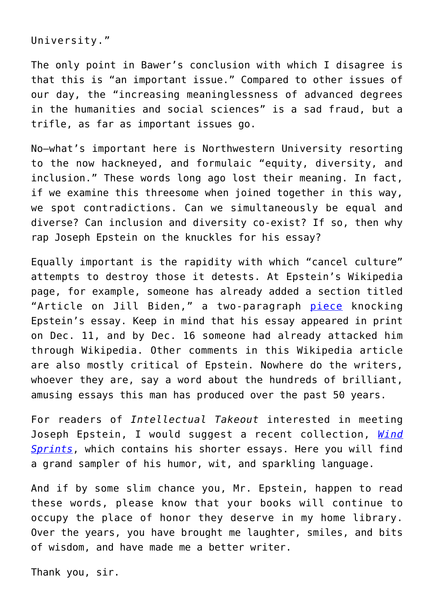University."

The only point in Bawer's conclusion with which I disagree is that this is "an important issue." Compared to other issues of our day, the "increasing meaninglessness of advanced degrees in the humanities and social sciences" is a sad fraud, but a trifle, as far as important issues go.

No—what's important here is Northwestern University resorting to the now hackneyed, and formulaic "equity, diversity, and inclusion." These words long ago lost their meaning. In fact, if we examine this threesome when joined together in this way, we spot contradictions. Can we simultaneously be equal and diverse? Can inclusion and diversity co-exist? If so, then why rap Joseph Epstein on the knuckles for his essay?

Equally important is the rapidity with which "cancel culture" attempts to destroy those it detests. At Epstein's Wikipedia page, for example, someone has already added a section titled "Article on Jill Biden," a two-paragraph [piece](https://en.wikipedia.org/wiki/Joseph_Epstein_(writer)) knocking Epstein's essay. Keep in mind that his essay appeared in print on Dec. 11, and by Dec. 16 someone had already attacked him through Wikipedia. Other comments in this Wikipedia article are also mostly critical of Epstein. Nowhere do the writers, whoever they are, say a word about the hundreds of brilliant, amusing essays this man has produced over the past 50 years.

For readers of *Intellectual Takeout* interested in meeting Joseph Epstein, I would suggest a recent collection, *[Wind](https://www.amazon.com/gp/product/1604191007/ref=as_li_tl?ie=UTF8&camp=1789&creative=9325&creativeASIN=1604191007&linkCode=as2&tag=intelltakeo0d-20&linkId=d58d9856a5d58c1d254b3b52a47e48fb) [Sprints](https://www.amazon.com/gp/product/1604191007/ref=as_li_tl?ie=UTF8&camp=1789&creative=9325&creativeASIN=1604191007&linkCode=as2&tag=intelltakeo0d-20&linkId=d58d9856a5d58c1d254b3b52a47e48fb)*, which contains his shorter essays. Here you will find a grand sampler of his humor, wit, and sparkling language.

And if by some slim chance you, Mr. Epstein, happen to read these words, please know that your books will continue to occupy the place of honor they deserve in my home library. Over the years, you have brought me laughter, smiles, and bits of wisdom, and have made me a better writer.

Thank you, sir.